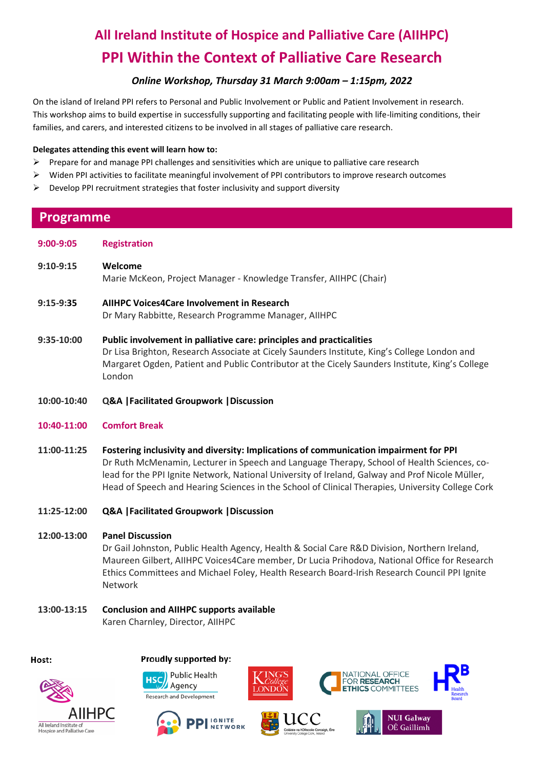# **All Ireland Institute of Hospice and Palliative Care (AIIHPC) PPI Within the Context of Palliative Care Research**

## *Online Workshop, Thursday 31 March 9:00am – 1:15pm, 2022*

On the island of Ireland PPI refers to Personal and Public Involvement or Public and Patient Involvement in research. This workshop aims to build expertise in successfully supporting and facilitating people with life-limiting conditions, their families, and carers, and interested citizens to be involved in all stages of palliative care research.

#### **Delegates attending this event will learn how to:**

- ➢ Prepare for and manage PPI challenges and sensitivities which are unique to palliative care research
- ➢ Widen PPI activities to facilitate meaningful involvement of PPI contributors to improve research outcomes
- ➢ Develop PPI recruitment strategies that foster inclusivity and support diversity

## **Programme**

**9:00-9:05 Registration**

**9:10-9:15 Welcome**

Marie McKeon, Project Manager - Knowledge Transfer, AIIHPC (Chair)

### **9:15-9:35 AIIHPC Voices4Care Involvement in Research**

Dr Mary Rabbitte, Research Programme Manager, AIIHPC

- **9:35-10:00 Public involvement in palliative care: principles and practicalities** Dr Lisa Brighton, Research Associate at Cicely Saunders Institute, King's College London and Margaret Ogden, Patient and Public Contributor at the Cicely Saunders Institute, King's College London
- **10:00-10:40 Q&A |Facilitated Groupwork |Discussion**

### **10:40-11:00 Comfort Break**

- **11:00-11:25 Fostering inclusivity and diversity: Implications of communication impairment for PPI** Dr Ruth McMenamin, Lecturer in Speech and Language Therapy, School of Health Sciences, colead for the PPI Ignite Network, National University of Ireland, Galway and Prof Nicole Müller, Head of Speech and Hearing Sciences in the School of Clinical Therapies, University College Cork
- **11:25-12:00 Q&A |Facilitated Groupwork |Discussion**

### **12:00-13:00 Panel Discussion**

Dr Gail Johnston, Public Health Agency, Health & Social Care R&D Division, Northern Ireland, Maureen Gilbert, AIIHPC Voices4Care member, Dr Lucia Prihodova, National Office for Research Ethics Committees and Michael Foley, Health Research Board-Irish Research Council PPI Ignite Network

## **13:00-13:15 Conclusion and AIIHPC supports available**

Karen Charnley, Director, AIIHPC

#### Host:





**PI** IGNITE

**NETWORK** 

Proudly supported by:







**JATIONAL OFFICE** 

FOR RESEARCH

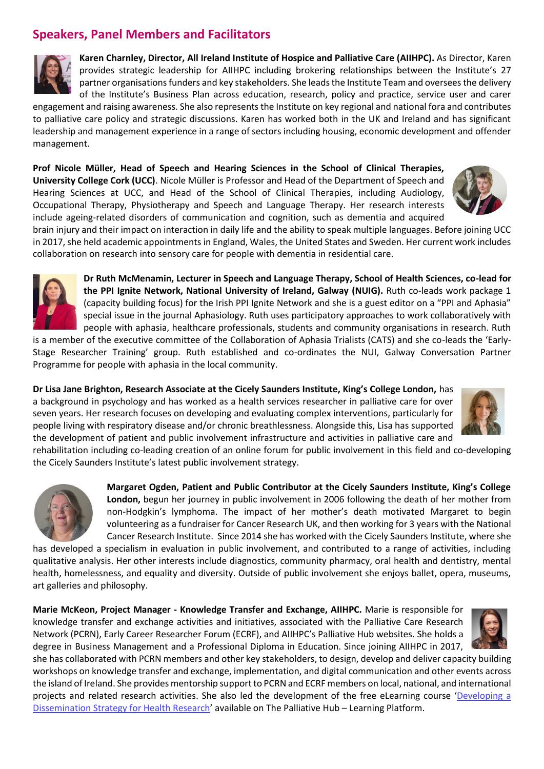## **Speakers, Panel Members and Facilitators**



**Karen Charnley, Director, All Ireland Institute of Hospice and Palliative Care (AIIHPC).** As Director, Karen provides strategic leadership for AIIHPC including brokering relationships between the Institute's 27 partner organisations funders and key stakeholders. She leads the Institute Team and oversees the delivery of the Institute's Business Plan across education, research, policy and practice, service user and carer

engagement and raising awareness. She also represents the Institute on key regional and national fora and contributes to palliative care policy and strategic discussions. Karen has worked both in the UK and Ireland and has significant leadership and management experience in a range of sectors including housing, economic development and offender management.

**Prof Nicole Müller, Head of Speech and Hearing Sciences in the School of Clinical Therapies, University College Cork (UCC)**. Nicole Müller is Professor and Head of the Department of Speech and Hearing Sciences at UCC, and Head of the School of Clinical Therapies, including Audiology, Occupational Therapy, Physiotherapy and Speech and Language Therapy. Her research interests include ageing-related disorders of communication and cognition, such as dementia and acquired



brain injury and their impact on interaction in daily life and the ability to speak multiple languages. Before joining UCC in 2017, she held academic appointments in England, Wales, the United States and Sweden. Her current work includes collaboration on research into sensory care for people with dementia in residential care.



**Dr Ruth McMenamin, Lecturer in Speech and Language Therapy, School of Health Sciences, co-lead for the PPI Ignite Network, National University of Ireland, Galway (NUIG).** Ruth co-leads work package 1 (capacity building focus) for the Irish PPI Ignite Network and she is a guest editor on a "PPI and Aphasia" special issue in the journal Aphasiology. Ruth uses participatory approaches to work collaboratively with people with aphasia, healthcare professionals, students and community organisations in research. Ruth

is a member of the executive committee of the Collaboration of Aphasia Trialists (CATS) and she co-leads the 'Early-Stage Researcher Training' group. Ruth established and co-ordinates the NUI, Galway Conversation Partner Programme for people with aphasia in the local community.

**Dr Lisa Jane Brighton, Research Associate at the Cicely Saunders Institute, King's College London,** has a background in psychology and has worked as a health services researcher in palliative care for over seven years. Her research focuses on developing and evaluating complex interventions, particularly for people living with respiratory disease and/or chronic breathlessness. Alongside this, Lisa has supported the development of patient and public involvement infrastructure and activities in palliative care and



rehabilitation including co-leading creation of an online forum for public involvement in this field and co-developing the Cicely Saunders Institute's latest public involvement strategy.



**Margaret Ogden, Patient and Public Contributor at the Cicely Saunders Institute, King's College London,** begun her journey in public involvement in 2006 following the death of her mother from non-Hodgkin's lymphoma. The impact of her mother's death motivated Margaret to begin volunteering as a fundraiser for Cancer Research UK, and then working for 3 years with the National Cancer Research Institute. Since 2014 she has worked with the Cicely Saunders Institute, where she

has developed a specialism in evaluation in public involvement, and contributed to a range of activities, including qualitative analysis. Her other interests include diagnostics, community pharmacy, oral health and dentistry, mental health, homelessness, and equality and diversity. Outside of public involvement she enjoys ballet, opera, museums, art galleries and philosophy.

**Marie McKeon, Project Manager - Knowledge Transfer and Exchange, AIIHPC.** Marie is responsible for knowledge transfer and exchange activities and initiatives, associated with the Palliative Care Research Network (PCRN), Early Career Researcher Forum (ECRF), and AIIHPC's Palliative Hub websites. She holds a degree in Business Management and a Professional Diploma in Education. Since joining AIIHPC in 2017,

she has collaborated with PCRN members and other key stakeholders, to design, develop and deliver capacity building workshops on knowledge transfer and exchange, implementation, and digital communication and other events across the island of Ireland. She provides mentorship support to PCRN and ECRF members on local, national, and international projects and related research activities. She also led the development of the free eLearning course '[Developing a](https://learningplatform.thepalliativehub.com/login/index.php)  [Dissemination Strategy for Health Research](https://learningplatform.thepalliativehub.com/login/index.php)' available on The Palliative Hub – Learning Platform.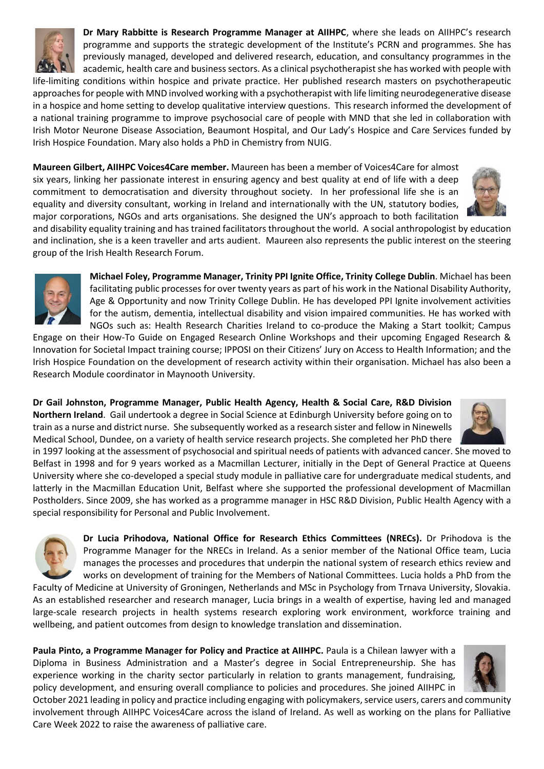

**Dr Mary Rabbitte is Research Programme Manager at AIIHPC**, where she leads on AIIHPC's research programme and supports the strategic development of the Institute's PCRN and programmes. She has previously managed, developed and delivered research, education, and consultancy programmes in the academic, health care and business sectors. As a clinical psychotherapist she has worked with people with life-limiting conditions within hospice and private practice. Her published research masters on psychotherapeutic approaches for people with MND involved working with a psychotherapist with life limiting neurodegenerative disease in a hospice and home setting to develop qualitative interview questions. This research informed the development of a national training programme to improve psychosocial care of people with MND that she led in collaboration with

Irish Motor Neurone Disease Association, Beaumont Hospital, and Our Lady's Hospice and Care Services funded by Irish Hospice Foundation. Mary also holds a PhD in Chemistry from NUIG.

**Maureen Gilbert, AIIHPC Voices4Care member.** Maureen has been a member of Voices4Care for almost six years, linking her passionate interest in ensuring agency and best quality at end of life with a deep commitment to democratisation and diversity throughout society. In her professional life she is an equality and diversity consultant, working in Ireland and internationally with the UN, statutory bodies, major corporations, NGOs and arts organisations. She designed the UN's approach to both facilitation



and disability equality training and has trained facilitators throughout the world. A social anthropologist by education and inclination, she is a keen traveller and arts audient. Maureen also represents the public interest on the steering group of the Irish Health Research Forum.



**Michael Foley, Programme Manager, Trinity PPI Ignite Office, Trinity College Dublin**. Michael has been facilitating public processes for over twenty years as part of his work in the National Disability Authority, Age & Opportunity and now Trinity College Dublin. He has developed PPI Ignite involvement activities for the autism, dementia, intellectual disability and vision impaired communities. He has worked with NGOs such as: Health Research Charities Ireland to co-produce the Making a Start toolkit; Campus

Engage on their How-To Guide on Engaged Research Online Workshops and their upcoming Engaged Research & Innovation for Societal Impact training course; IPPOSI on their Citizens' Jury on Access to Health Information; and the Irish Hospice Foundation on the development of research activity within their organisation. Michael has also been a Research Module coordinator in Maynooth University.

**Dr Gail Johnston, Programme Manager, Public Health Agency, Health & Social Care, R&D Division Northern Ireland**. Gail undertook a degree in Social Science at Edinburgh University before going on to train as a nurse and district nurse. She subsequently worked as a research sister and fellow in Ninewells Medical School, Dundee, on a variety of health service research projects. She completed her PhD there



in 1997 looking at the assessment of psychosocial and spiritual needs of patients with advanced cancer. She moved to Belfast in 1998 and for 9 years worked as a Macmillan Lecturer, initially in the Dept of General Practice at Queens University where she co-developed a special study module in palliative care for undergraduate medical students, and latterly in the Macmillan Education Unit, Belfast where she supported the professional development of Macmillan Postholders. Since 2009, she has worked as a programme manager in HSC R&D Division, Public Health Agency with a special responsibility for Personal and Public Involvement.



**Dr Lucia Prihodova, National Office for Research Ethics Committees (NRECs).** Dr Prihodova is the Programme Manager for the NRECs in Ireland. As a senior member of the National Office team, Lucia manages the processes and procedures that underpin the national system of research ethics review and works on development of training for the Members of National Committees. Lucia holds a PhD from the Faculty of Medicine at University of Groningen, Netherlands and MSc in Psychology from Trnava University, Slovakia.

As an established researcher and research manager, Lucia brings in a wealth of expertise, having led and managed large-scale research projects in health systems research exploring work environment, workforce training and wellbeing, and patient outcomes from design to knowledge translation and dissemination.

**Paula Pinto, a Programme Manager for Policy and Practice at AIIHPC.** Paula is a Chilean lawyer with a Diploma in Business Administration and a Master's degree in Social Entrepreneurship. She has experience working in the charity sector particularly in relation to grants management, fundraising, policy development, and ensuring overall compliance to policies and procedures. She joined AIIHPC in



October 2021 leading in policy and practice including engaging with policymakers, service users, carers and community involvement through AIIHPC Voices4Care across the island of Ireland. As well as working on the plans for Palliative Care Week 2022 to raise the awareness of palliative care.